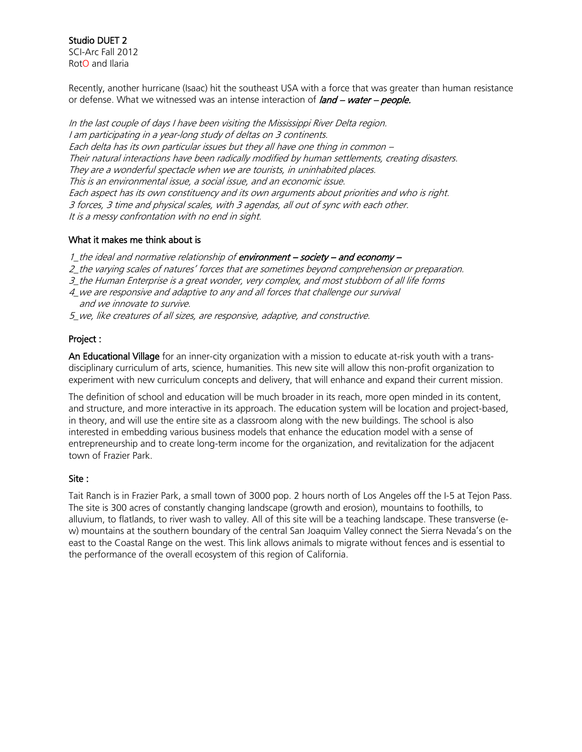Studio DUET 2 SCI-Arc Fall 2012 RotO and Ilaria

Recently, another hurricane (Isaac) hit the southeast USA with a force that was greater than human resistance or defense. What we witnessed was an intense interaction of  $\ell$ and – water – people.

In the last couple of days I have been visiting the Mississippi River Delta region. I am participating in a year-long study of deltas on 3 continents. Each delta has its own particular issues but they all have one thing in common – Their natural interactions have been radically modified by human settlements, creating disasters. They are a wonderful spectacle when we are tourists, in uninhabited places. This is an environmental issue, a social issue, and an economic issue. Each aspect has its own constituency and its own arguments about priorities and who is right. 3 forces, 3 time and physical scales, with 3 agendas, all out of sync with each other. It is a messy confrontation with no end in sight.

### What it makes me think about is

1\_the ideal and normative relationship of environment – society – and economy –

- 2\_the varying scales of natures' forces that are sometimes beyond comprehension or preparation.
- 3\_the Human Enterprise is a great wonder, very complex, and most stubborn of all life forms
- 4\_we are responsive and adaptive to any and all forces that challenge our survival
- and we innovate to survive.
- 5\_we, like creatures of all sizes, are responsive, adaptive, and constructive.

### Project :

An Educational Village for an inner-city organization with a mission to educate at-risk youth with a transdisciplinary curriculum of arts, science, humanities. This new site will allow this non-profit organization to experiment with new curriculum concepts and delivery, that will enhance and expand their current mission.

The definition of school and education will be much broader in its reach, more open minded in its content, and structure, and more interactive in its approach. The education system will be location and project-based, in theory, and will use the entire site as a classroom along with the new buildings. The school is also interested in embedding various business models that enhance the education model with a sense of entrepreneurship and to create long-term income for the organization, and revitalization for the adjacent town of Frazier Park.

#### Site :

Tait Ranch is in Frazier Park, a small town of 3000 pop. 2 hours north of Los Angeles off the I-5 at Tejon Pass. The site is 300 acres of constantly changing landscape (growth and erosion), mountains to foothills, to alluvium, to flatlands, to river wash to valley. All of this site will be a teaching landscape. These transverse (ew) mountains at the southern boundary of the central San Joaquim Valley connect the Sierra Nevada's on the east to the Coastal Range on the west. This link allows animals to migrate without fences and is essential to the performance of the overall ecosystem of this region of California.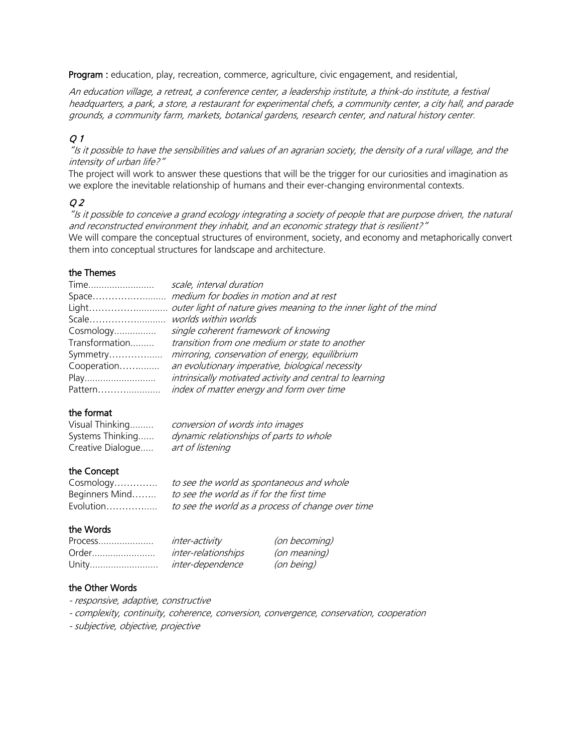Program : education, play, recreation, commerce, agriculture, civic engagement, and residential,

An education village, a retreat, a conference center, a leadership institute, a think-do institute, a festival headquarters, a park, a store, a restaurant for experimental chefs, a community center, a city hall, and parade grounds, a community farm, markets, botanical gardens, research center, and natural history center.

# Q 1

"Is it possible to have the sensibilities and values of an agrarian society, the density of a rural village, and the intensity of urban life?"

The project will work to answer these questions that will be the trigger for our curiosities and imagination as we explore the inevitable relationship of humans and their ever-changing environmental contexts.

# Q 2

"Is it possible to conceive a grand ecology integrating a society of people that are purpose driven, the natural and reconstructed environment they inhabit, and an economic strategy that is resilient?" We will compare the conceptual structures of environment, society, and economy and metaphorically convert them into conceptual structures for landscape and architecture.

### the Themes

| Time           | scale, interval duration                                           |
|----------------|--------------------------------------------------------------------|
|                |                                                                    |
| Light          | outer light of nature gives meaning to the inner light of the mind |
|                |                                                                    |
| Cosmology      | single coherent framework of knowing                               |
| Transformation | transition from one medium or state to another                     |
| Symmetry       | mirroring, conservation of energy, equilibrium                     |
| Cooperation    | an evolutionary imperative, biological necessity                   |
| Play           | intrinsically motivated activity and central to learning           |
| Pattern        | index of matter energy and form over time                          |

## the format

| Visual Thinking   | conversion of words into images         |
|-------------------|-----------------------------------------|
| Systems Thinking  | dynamic relationships of parts to whole |
| Creative Dialogue | art of listening                        |

## the Concept

| Cosmology      | to see the world as spontaneous and whole         |
|----------------|---------------------------------------------------|
| Beginners Mind | to see the world as if for the first time         |
| Evolution      | to see the world as a process of change over time |

### the Words

| Process | inter-activity      | (on becoming) |
|---------|---------------------|---------------|
| Order   | inter-relationships | (on meaning)  |
| Unity   | inter-dependence    | (on being)    |

## the Other Words

- responsive, adaptive, constructive
- complexity, continuity, coherence, conversion, convergence, conservation, cooperation
- subjective, objective, projective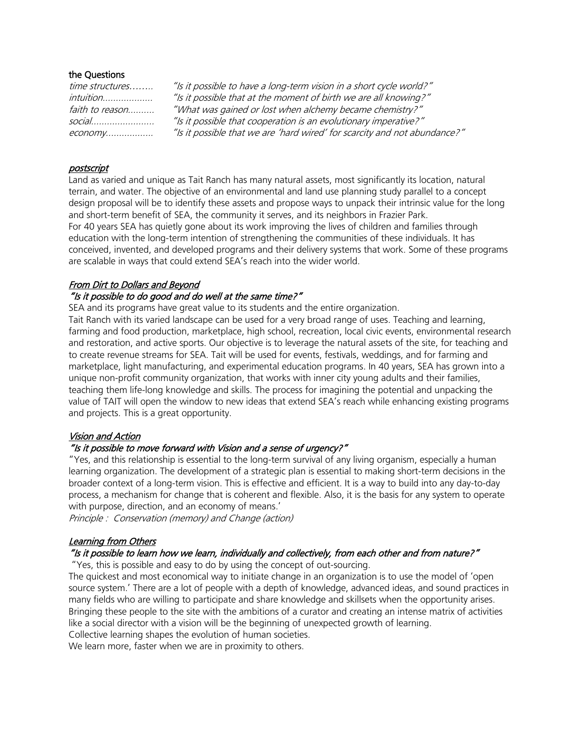### the Questions

| time structures |
|-----------------|
| intuition       |
| faith to reason |
| social          |
| $e$ conomv      |

"Is it possible to have a long-term vision in a short cycle world?" "Is it possible that at the moment of birth we are all knowing?" "What was gained or lost when alchemy became chemistry?" "Is it possible that cooperation is an evolutionary imperative?" economy.................. "Is it possible that we are 'hard wired' for scarcity and not abundance?"

### postscript

Land as varied and unique as Tait Ranch has many natural assets, most significantly its location, natural terrain, and water. The objective of an environmental and land use planning study parallel to a concept design proposal will be to identify these assets and propose ways to unpack their intrinsic value for the long and short-term benefit of SEA, the community it serves, and its neighbors in Frazier Park. For 40 years SEA has quietly gone about its work improving the lives of children and families through education with the long-term intention of strengthening the communities of these individuals. It has conceived, invented, and developed programs and their delivery systems that work. Some of these programs are scalable in ways that could extend SEA's reach into the wider world.

# From Dirt to Dollars and Beyond

### "Is it possible to do good and do well at the same time?"

SEA and its programs have great value to its students and the entire organization.

Tait Ranch with its varied landscape can be used for a very broad range of uses. Teaching and learning, farming and food production, marketplace, high school, recreation, local civic events, environmental research and restoration, and active sports. Our objective is to leverage the natural assets of the site, for teaching and to create revenue streams for SEA. Tait will be used for events, festivals, weddings, and for farming and marketplace, light manufacturing, and experimental education programs. In 40 years, SEA has grown into a unique non-profit community organization, that works with inner city young adults and their families, teaching them life-long knowledge and skills. The process for imagining the potential and unpacking the value of TAIT will open the window to new ideas that extend SEA's reach while enhancing existing programs and projects. This is a great opportunity.

### Vision and Action

### "Is it possible to move forward with Vision and a sense of urgency?"

"Yes, and this relationship is essential to the long-term survival of any living organism, especially a human learning organization. The development of a strategic plan is essential to making short-term decisions in the broader context of a long-term vision. This is effective and efficient. It is a way to build into any day-to-day process, a mechanism for change that is coherent and flexible. Also, it is the basis for any system to operate with purpose, direction, and an economy of means.'

Principle : Conservation (memory) and Change (action)

### Learning from Others

### "Is it possible to learn how we learn, individually and collectively, from each other and from nature?"

"Yes, this is possible and easy to do by using the concept of out-sourcing.

The quickest and most economical way to initiate change in an organization is to use the model of 'open source system.' There are a lot of people with a depth of knowledge, advanced ideas, and sound practices in many fields who are willing to participate and share knowledge and skillsets when the opportunity arises. Bringing these people to the site with the ambitions of a curator and creating an intense matrix of activities like a social director with a vision will be the beginning of unexpected growth of learning. Collective learning shapes the evolution of human societies.

We learn more, faster when we are in proximity to others.